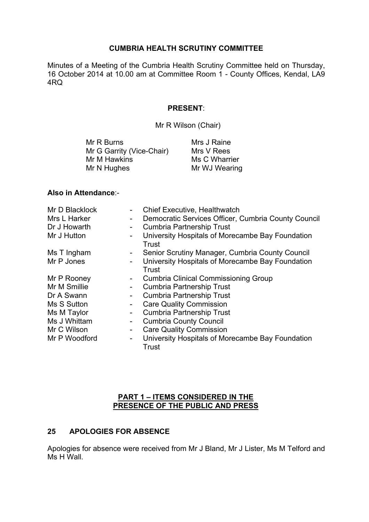#### **CUMBRIA HEALTH SCRUTINY COMMITTEE**

Minutes of a Meeting of the Cumbria Health Scrutiny Committee held on Thursday, 16 October 2014 at 10.00 am at Committee Room 1 - County Offices, Kendal, LA9 4RQ

#### **PRESENT**:

Mr R Wilson (Chair)

| Mrs J Raine   |
|---------------|
| Mrs V Rees    |
| Ms C Wharrier |
| Mr WJ Wearing |
|               |

#### **Also in Attendance**:-

| Mr D Blacklock |                | <b>Chief Executive, Healthwatch</b>                       |
|----------------|----------------|-----------------------------------------------------------|
| Mrs L Harker   | -              | Democratic Services Officer, Cumbria County Council       |
| Dr J Howarth   | -              | <b>Cumbria Partnership Trust</b>                          |
| Mr J Hutton    |                | University Hospitals of Morecambe Bay Foundation<br>Trust |
| Ms T Ingham    | ۰.             | Senior Scrutiny Manager, Cumbria County Council           |
| Mr P Jones     |                | University Hospitals of Morecambe Bay Foundation          |
|                |                | Trust                                                     |
| Mr P Rooney    | $\blacksquare$ | <b>Cumbria Clinical Commissioning Group</b>               |
| Mr M Smillie   | $\blacksquare$ | <b>Cumbria Partnership Trust</b>                          |
| Dr A Swann     |                | <b>Cumbria Partnership Trust</b>                          |
| Ms S Sutton    |                | <b>Care Quality Commission</b>                            |
| Ms M Taylor    | -              | <b>Cumbria Partnership Trust</b>                          |
| Ms J Whittam   | -              | <b>Cumbria County Council</b>                             |
| Mr C Wilson    | -              | <b>Care Quality Commission</b>                            |
| Mr P Woodford  | -              | University Hospitals of Morecambe Bay Foundation<br>Trust |

### **PART 1 – ITEMS CONSIDERED IN THE PRESENCE OF THE PUBLIC AND PRESS**

## **25 APOLOGIES FOR ABSENCE**

Apologies for absence were received from Mr J Bland, Mr J Lister, Ms M Telford and Ms H Wall.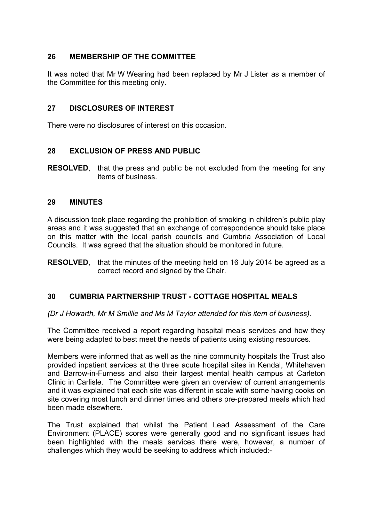# **26 MEMBERSHIP OF THE COMMITTEE**

It was noted that Mr W Wearing had been replaced by Mr J Lister as a member of the Committee for this meeting only.

### **27 DISCLOSURES OF INTEREST**

There were no disclosures of interest on this occasion.

## **28 EXCLUSION OF PRESS AND PUBLIC**

**RESOLVED**, that the press and public be not excluded from the meeting for any items of business.

### **29 MINUTES**

A discussion took place regarding the prohibition of smoking in children's public play areas and it was suggested that an exchange of correspondence should take place on this matter with the local parish councils and Cumbria Association of Local Councils. It was agreed that the situation should be monitored in future.

**RESOLVED**, that the minutes of the meeting held on 16 July 2014 be agreed as a correct record and signed by the Chair.

## **30 CUMBRIA PARTNERSHIP TRUST - COTTAGE HOSPITAL MEALS**

*(Dr J Howarth, Mr M Smillie and Ms M Taylor attended for this item of business).*

The Committee received a report regarding hospital meals services and how they were being adapted to best meet the needs of patients using existing resources.

Members were informed that as well as the nine community hospitals the Trust also provided inpatient services at the three acute hospital sites in Kendal, Whitehaven and Barrow-in-Furness and also their largest mental health campus at Carleton Clinic in Carlisle. The Committee were given an overview of current arrangements and it was explained that each site was different in scale with some having cooks on site covering most lunch and dinner times and others pre-prepared meals which had been made elsewhere.

The Trust explained that whilst the Patient Lead Assessment of the Care Environment (PLACE) scores were generally good and no significant issues had been highlighted with the meals services there were, however, a number of challenges which they would be seeking to address which included:-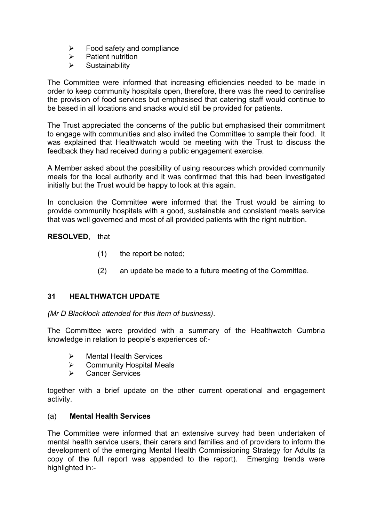- $\triangleright$  Food safety and compliance
- $\triangleright$  Patient nutrition
- $\triangleright$  Sustainability

The Committee were informed that increasing efficiencies needed to be made in order to keep community hospitals open, therefore, there was the need to centralise the provision of food services but emphasised that catering staff would continue to be based in all locations and snacks would still be provided for patients.

The Trust appreciated the concerns of the public but emphasised their commitment to engage with communities and also invited the Committee to sample their food. It was explained that Healthwatch would be meeting with the Trust to discuss the feedback they had received during a public engagement exercise.

A Member asked about the possibility of using resources which provided community meals for the local authority and it was confirmed that this had been investigated initially but the Trust would be happy to look at this again.

In conclusion the Committee were informed that the Trust would be aiming to provide community hospitals with a good, sustainable and consistent meals service that was well governed and most of all provided patients with the right nutrition.

**RESOLVED**, that

- (1) the report be noted;
- (2) an update be made to a future meeting of the Committee.

## **31 HEALTHWATCH UPDATE**

*(Mr D Blacklock attended for this item of business)*.

The Committee were provided with a summary of the Healthwatch Cumbria knowledge in relation to people's experiences of:-

- $\triangleright$  Mental Health Services
- $\triangleright$  Community Hospital Meals
- Cancer Services

together with a brief update on the other current operational and engagement activity.

#### (a) **Mental Health Services**

The Committee were informed that an extensive survey had been undertaken of mental health service users, their carers and families and of providers to inform the development of the emerging Mental Health Commissioning Strategy for Adults (a copy of the full report was appended to the report). Emerging trends were highlighted in:-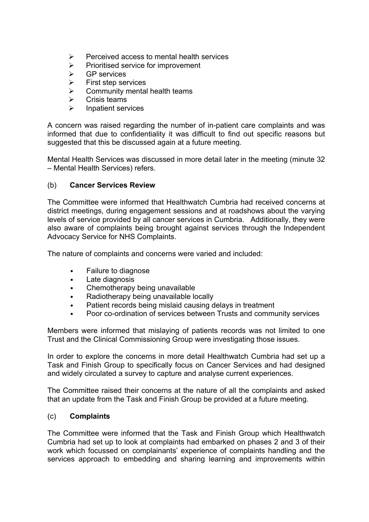- $\triangleright$  Perceived access to mental health services
- $\triangleright$  Prioritised service for improvement
- $\triangleright$  GP services
- $\triangleright$  First step services
- $\triangleright$  Community mental health teams
- $\triangleright$  Crisis teams
- Inpatient services

A concern was raised regarding the number of in-patient care complaints and was informed that due to confidentiality it was difficult to find out specific reasons but suggested that this be discussed again at a future meeting.

Mental Health Services was discussed in more detail later in the meeting (minute 32 – Mental Health Services) refers.

#### (b) **Cancer Services Review**

The Committee were informed that Healthwatch Cumbria had received concerns at district meetings, during engagement sessions and at roadshows about the varying levels of service provided by all cancer services in Cumbria. Additionally, they were also aware of complaints being brought against services through the Independent Advocacy Service for NHS Complaints.

The nature of complaints and concerns were varied and included:

- Failure to diagnose
- Late diagnosis
- Chemotherapy being unavailable
- Radiotherapy being unavailable locally
- Patient records being mislaid causing delays in treatment
- Poor co-ordination of services between Trusts and community services

Members were informed that mislaying of patients records was not limited to one Trust and the Clinical Commissioning Group were investigating those issues.

In order to explore the concerns in more detail Healthwatch Cumbria had set up a Task and Finish Group to specifically focus on Cancer Services and had designed and widely circulated a survey to capture and analyse current experiences.

The Committee raised their concerns at the nature of all the complaints and asked that an update from the Task and Finish Group be provided at a future meeting.

#### (c) **Complaints**

The Committee were informed that the Task and Finish Group which Healthwatch Cumbria had set up to look at complaints had embarked on phases 2 and 3 of their work which focussed on complainants' experience of complaints handling and the services approach to embedding and sharing learning and improvements within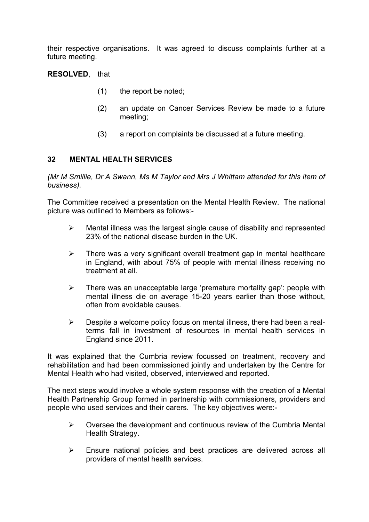their respective organisations. It was agreed to discuss complaints further at a future meeting.

**RESOLVED**, that

- (1) the report be noted;
- (2) an update on Cancer Services Review be made to a future meeting;
- (3) a report on complaints be discussed at a future meeting.

## **32 MENTAL HEALTH SERVICES**

*(Mr M Smillie, Dr A Swann, Ms M Taylor and Mrs J Whittam attended for this item of business).*

The Committee received a presentation on the Mental Health Review. The national picture was outlined to Members as follows:-

- $\triangleright$  Mental illness was the largest single cause of disability and represented 23% of the national disease burden in the UK.
- $\triangleright$  There was a very significant overall treatment gap in mental healthcare in England, with about 75% of people with mental illness receiving no treatment at all.
- $\triangleright$  There was an unacceptable large 'premature mortality gap': people with mental illness die on average 15-20 years earlier than those without, often from avoidable causes.
- $\triangleright$  Despite a welcome policy focus on mental illness, there had been a realterms fall in investment of resources in mental health services in England since 2011.

It was explained that the Cumbria review focussed on treatment, recovery and rehabilitation and had been commissioned jointly and undertaken by the Centre for Mental Health who had visited, observed, interviewed and reported.

The next steps would involve a whole system response with the creation of a Mental Health Partnership Group formed in partnership with commissioners, providers and people who used services and their carers. The key objectives were:-

- $\triangleright$  Oversee the development and continuous review of the Cumbria Mental Health Strategy.
- Ensure national policies and best practices are delivered across all providers of mental health services.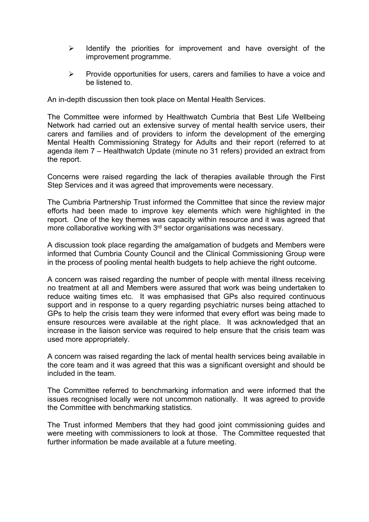- $\triangleright$  Identify the priorities for improvement and have oversight of the improvement programme.
- $\triangleright$  Provide opportunities for users, carers and families to have a voice and be listened to.

An in-depth discussion then took place on Mental Health Services.

The Committee were informed by Healthwatch Cumbria that Best Life Wellbeing Network had carried out an extensive survey of mental health service users, their carers and families and of providers to inform the development of the emerging Mental Health Commissioning Strategy for Adults and their report (referred to at agenda item 7 – Healthwatch Update (minute no 31 refers) provided an extract from the report.

Concerns were raised regarding the lack of therapies available through the First Step Services and it was agreed that improvements were necessary.

The Cumbria Partnership Trust informed the Committee that since the review major efforts had been made to improve key elements which were highlighted in the report. One of the key themes was capacity within resource and it was agreed that more collaborative working with  $3<sup>rd</sup>$  sector organisations was necessary.

A discussion took place regarding the amalgamation of budgets and Members were informed that Cumbria County Council and the Clinical Commissioning Group were in the process of pooling mental health budgets to help achieve the right outcome.

A concern was raised regarding the number of people with mental illness receiving no treatment at all and Members were assured that work was being undertaken to reduce waiting times etc. It was emphasised that GPs also required continuous support and in response to a query regarding psychiatric nurses being attached to GPs to help the crisis team they were informed that every effort was being made to ensure resources were available at the right place. It was acknowledged that an increase in the liaison service was required to help ensure that the crisis team was used more appropriately.

A concern was raised regarding the lack of mental health services being available in the core team and it was agreed that this was a significant oversight and should be included in the team.

The Committee referred to benchmarking information and were informed that the issues recognised locally were not uncommon nationally. It was agreed to provide the Committee with benchmarking statistics.

The Trust informed Members that they had good joint commissioning guides and were meeting with commissioners to look at those. The Committee requested that further information be made available at a future meeting.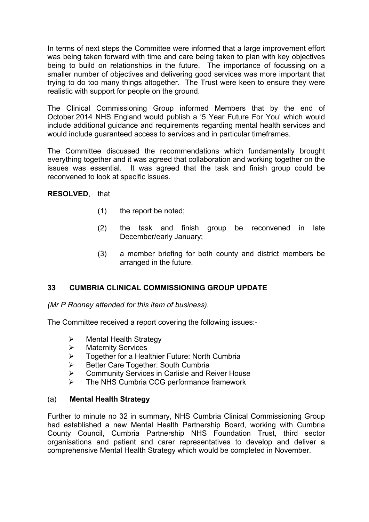In terms of next steps the Committee were informed that a large improvement effort was being taken forward with time and care being taken to plan with key objectives being to build on relationships in the future. The importance of focussing on a smaller number of objectives and delivering good services was more important that trying to do too many things altogether. The Trust were keen to ensure they were realistic with support for people on the ground.

The Clinical Commissioning Group informed Members that by the end of October 2014 NHS England would publish a '5 Year Future For You' which would include additional guidance and requirements regarding mental health services and would include guaranteed access to services and in particular timeframes.

The Committee discussed the recommendations which fundamentally brought everything together and it was agreed that collaboration and working together on the issues was essential. It was agreed that the task and finish group could be reconvened to look at specific issues.

**RESOLVED**, that

- (1) the report be noted;
- (2) the task and finish group be reconvened in late December/early January;
- (3) a member briefing for both county and district members be arranged in the future.

## **33 CUMBRIA CLINICAL COMMISSIONING GROUP UPDATE**

*(Mr P Rooney attended for this item of business).*

The Committee received a report covering the following issues:-

- $\triangleright$  Mental Health Strategy
- > Maternity Services
- > Together for a Healthier Future: North Cumbria
- Better Care Together: South Cumbria
- **▶ Community Services in Carlisle and Reiver House**
- The NHS Cumbria CCG performance framework

#### (a) **Mental Health Strategy**

Further to minute no 32 in summary, NHS Cumbria Clinical Commissioning Group had established a new Mental Health Partnership Board, working with Cumbria County Council, Cumbria Partnership NHS Foundation Trust, third sector organisations and patient and carer representatives to develop and deliver a comprehensive Mental Health Strategy which would be completed in November.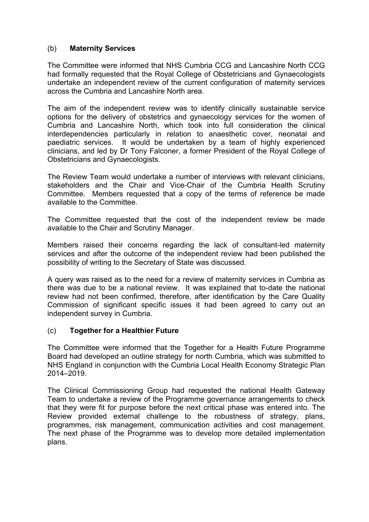### (b) **Maternity Services**

The Committee were informed that NHS Cumbria CCG and Lancashire North CCG had formally requested that the Royal College of Obstetricians and Gynaecologists undertake an independent review of the current configuration of maternity services across the Cumbria and Lancashire North area.

The aim of the independent review was to identify clinically sustainable service options for the delivery of obstetrics and gynaecology services for the women of Cumbria and Lancashire North, which took into full consideration the clinical interdependencies particularly in relation to anaesthetic cover, neonatal and paediatric services. It would be undertaken by a team of highly experienced clinicians, and led by Dr Tony Falconer, a former President of the Royal College of Obstetricians and Gynaecologists.

The Review Team would undertake a number of interviews with relevant clinicians, stakeholders and the Chair and Vice-Chair of the Cumbria Health Scrutiny Committee. Members requested that a copy of the terms of reference be made available to the Committee.

The Committee requested that the cost of the independent review be made available to the Chair and Scrutiny Manager.

Members raised their concerns regarding the lack of consultant-led maternity services and after the outcome of the independent review had been published the possibility of writing to the Secretary of State was discussed.

A query was raised as to the need for a review of maternity services in Cumbria as there was due to be a national review. It was explained that to-date the national review had not been confirmed, therefore, after identification by the Care Quality Commission of significant specific issues it had been agreed to carry out an independent survey in Cumbria.

#### (c) **Together for a Healthier Future**

The Committee were informed that the Together for a Health Future Programme Board had developed an outline strategy for north Cumbria, which was submitted to NHS England in conjunction with the Cumbria Local Health Economy Strategic Plan 2014–2019.

The Clinical Commissioning Group had requested the national Health Gateway Team to undertake a review of the Programme governance arrangements to check that they were fit for purpose before the next critical phase was entered into. The Review provided external challenge to the robustness of strategy, plans, programmes, risk management, communication activities and cost management. The next phase of the Programme was to develop more detailed implementation plans.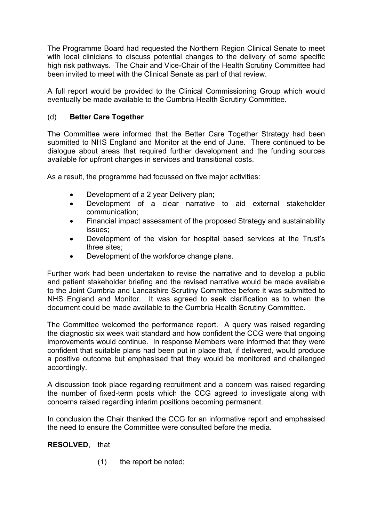The Programme Board had requested the Northern Region Clinical Senate to meet with local clinicians to discuss potential changes to the delivery of some specific high risk pathways. The Chair and Vice-Chair of the Health Scrutiny Committee had been invited to meet with the Clinical Senate as part of that review.

A full report would be provided to the Clinical Commissioning Group which would eventually be made available to the Cumbria Health Scrutiny Committee.

# (d) **Better Care Together**

The Committee were informed that the Better Care Together Strategy had been submitted to NHS England and Monitor at the end of June. There continued to be dialogue about areas that required further development and the funding sources available for upfront changes in services and transitional costs.

As a result, the programme had focussed on five major activities:

- Development of a 2 year Delivery plan;
- Development of a clear narrative to aid external stakeholder communication;
- Financial impact assessment of the proposed Strategy and sustainability issues;
- Development of the vision for hospital based services at the Trust's three sites;
- Development of the workforce change plans.

Further work had been undertaken to revise the narrative and to develop a public and patient stakeholder briefing and the revised narrative would be made available to the Joint Cumbria and Lancashire Scrutiny Committee before it was submitted to NHS England and Monitor. It was agreed to seek clarification as to when the document could be made available to the Cumbria Health Scrutiny Committee.

The Committee welcomed the performance report. A query was raised regarding the diagnostic six week wait standard and how confident the CCG were that ongoing improvements would continue. In response Members were informed that they were confident that suitable plans had been put in place that, if delivered, would produce a positive outcome but emphasised that they would be monitored and challenged accordingly.

A discussion took place regarding recruitment and a concern was raised regarding the number of fixed-term posts which the CCG agreed to investigate along with concerns raised regarding interim positions becoming permanent.

In conclusion the Chair thanked the CCG for an informative report and emphasised the need to ensure the Committee were consulted before the media.

**RESOLVED**, that

(1) the report be noted;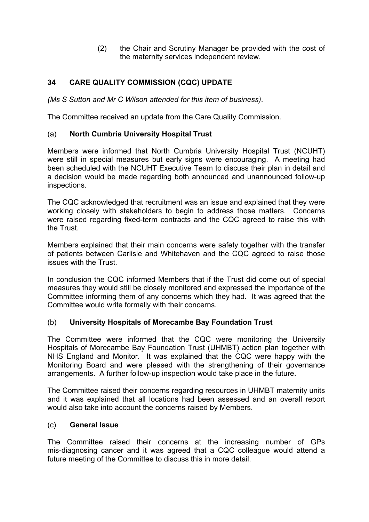(2) the Chair and Scrutiny Manager be provided with the cost of the maternity services independent review.

# **34 CARE QUALITY COMMISSION (CQC) UPDATE**

*(Ms S Sutton and Mr C Wilson attended for this item of business)*.

The Committee received an update from the Care Quality Commission.

### (a) **North Cumbria University Hospital Trust**

Members were informed that North Cumbria University Hospital Trust (NCUHT) were still in special measures but early signs were encouraging. A meeting had been scheduled with the NCUHT Executive Team to discuss their plan in detail and a decision would be made regarding both announced and unannounced follow-up inspections.

The CQC acknowledged that recruitment was an issue and explained that they were working closely with stakeholders to begin to address those matters. Concerns were raised regarding fixed-term contracts and the CQC agreed to raise this with the Trust.

Members explained that their main concerns were safety together with the transfer of patients between Carlisle and Whitehaven and the CQC agreed to raise those issues with the Trust.

In conclusion the CQC informed Members that if the Trust did come out of special measures they would still be closely monitored and expressed the importance of the Committee informing them of any concerns which they had. It was agreed that the Committee would write formally with their concerns.

#### (b) **University Hospitals of Morecambe Bay Foundation Trust**

The Committee were informed that the CQC were monitoring the University Hospitals of Morecambe Bay Foundation Trust (UHMBT) action plan together with NHS England and Monitor. It was explained that the CQC were happy with the Monitoring Board and were pleased with the strengthening of their governance arrangements. A further follow-up inspection would take place in the future.

The Committee raised their concerns regarding resources in UHMBT maternity units and it was explained that all locations had been assessed and an overall report would also take into account the concerns raised by Members.

#### (c) **General Issue**

The Committee raised their concerns at the increasing number of GPs mis-diagnosing cancer and it was agreed that a CQC colleague would attend a future meeting of the Committee to discuss this in more detail.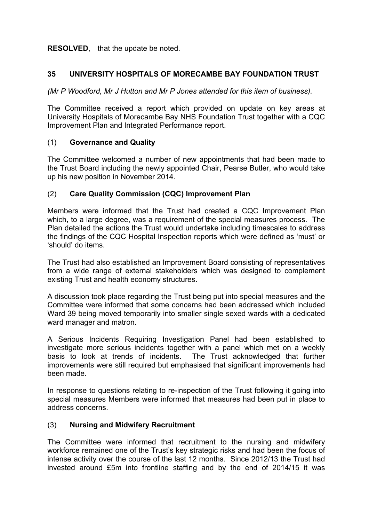#### **RESOLVED**, that the update be noted.

### **35 UNIVERSITY HOSPITALS OF MORECAMBE BAY FOUNDATION TRUST**

*(Mr P Woodford, Mr J Hutton and Mr P Jones attended for this item of business).*

The Committee received a report which provided on update on key areas at University Hospitals of Morecambe Bay NHS Foundation Trust together with a CQC Improvement Plan and Integrated Performance report.

### (1) **Governance and Quality**

The Committee welcomed a number of new appointments that had been made to the Trust Board including the newly appointed Chair, Pearse Butler, who would take up his new position in November 2014.

### (2) **Care Quality Commission (CQC) Improvement Plan**

Members were informed that the Trust had created a CQC Improvement Plan which, to a large degree, was a requirement of the special measures process. The Plan detailed the actions the Trust would undertake including timescales to address the findings of the CQC Hospital Inspection reports which were defined as 'must' or 'should' do items.

The Trust had also established an Improvement Board consisting of representatives from a wide range of external stakeholders which was designed to complement existing Trust and health economy structures.

A discussion took place regarding the Trust being put into special measures and the Committee were informed that some concerns had been addressed which included Ward 39 being moved temporarily into smaller single sexed wards with a dedicated ward manager and matron.

A Serious Incidents Requiring Investigation Panel had been established to investigate more serious incidents together with a panel which met on a weekly basis to look at trends of incidents. The Trust acknowledged that further improvements were still required but emphasised that significant improvements had been made.

In response to questions relating to re-inspection of the Trust following it going into special measures Members were informed that measures had been put in place to address concerns.

## (3) **Nursing and Midwifery Recruitment**

The Committee were informed that recruitment to the nursing and midwifery workforce remained one of the Trust's key strategic risks and had been the focus of intense activity over the course of the last 12 months. Since 2012/13 the Trust had invested around £5m into frontline staffing and by the end of 2014/15 it was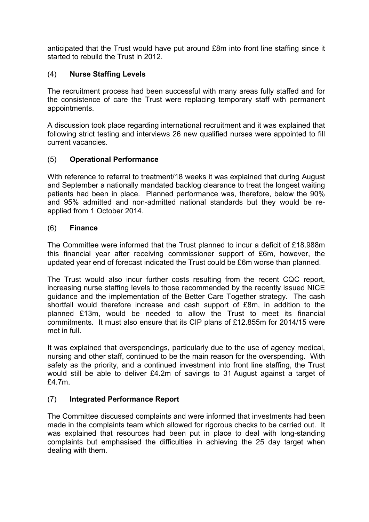anticipated that the Trust would have put around £8m into front line staffing since it started to rebuild the Trust in 2012.

## (4) **Nurse Staffing Levels**

The recruitment process had been successful with many areas fully staffed and for the consistence of care the Trust were replacing temporary staff with permanent appointments.

A discussion took place regarding international recruitment and it was explained that following strict testing and interviews 26 new qualified nurses were appointed to fill current vacancies.

## (5) **Operational Performance**

With reference to referral to treatment/18 weeks it was explained that during August and September a nationally mandated backlog clearance to treat the longest waiting patients had been in place. Planned performance was, therefore, below the 90% and 95% admitted and non-admitted national standards but they would be reapplied from 1 October 2014.

### (6) **Finance**

The Committee were informed that the Trust planned to incur a deficit of £18.988m this financial year after receiving commissioner support of £6m, however, the updated year end of forecast indicated the Trust could be £6m worse than planned.

The Trust would also incur further costs resulting from the recent CQC report, increasing nurse staffing levels to those recommended by the recently issued NICE guidance and the implementation of the Better Care Together strategy. The cash shortfall would therefore increase and cash support of £8m, in addition to the planned £13m, would be needed to allow the Trust to meet its financial commitments. It must also ensure that its CIP plans of £12.855m for 2014/15 were met in full.

It was explained that overspendings, particularly due to the use of agency medical, nursing and other staff, continued to be the main reason for the overspending. With safety as the priority, and a continued investment into front line staffing, the Trust would still be able to deliver £4.2m of savings to 31 August against a target of £4.7m.

## (7) **Integrated Performance Report**

The Committee discussed complaints and were informed that investments had been made in the complaints team which allowed for rigorous checks to be carried out. It was explained that resources had been put in place to deal with long-standing complaints but emphasised the difficulties in achieving the 25 day target when dealing with them.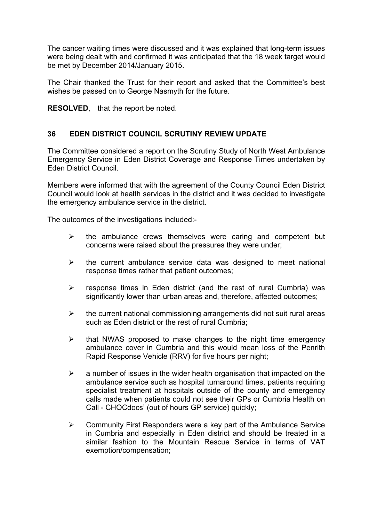The cancer waiting times were discussed and it was explained that long-term issues were being dealt with and confirmed it was anticipated that the 18 week target would be met by December 2014/January 2015.

The Chair thanked the Trust for their report and asked that the Committee's best wishes be passed on to George Nasmyth for the future.

**RESOLVED**, that the report be noted.

### **36 EDEN DISTRICT COUNCIL SCRUTINY REVIEW UPDATE**

The Committee considered a report on the Scrutiny Study of North West Ambulance Emergency Service in Eden District Coverage and Response Times undertaken by Eden District Council.

Members were informed that with the agreement of the County Council Eden District Council would look at health services in the district and it was decided to investigate the emergency ambulance service in the district.

The outcomes of the investigations included:-

- $\triangleright$  the ambulance crews themselves were caring and competent but concerns were raised about the pressures they were under;
- $\triangleright$  the current ambulance service data was designed to meet national response times rather that patient outcomes;
- $\triangleright$  response times in Eden district (and the rest of rural Cumbria) was significantly lower than urban areas and, therefore, affected outcomes;
- $\triangleright$  the current national commissioning arrangements did not suit rural areas such as Eden district or the rest of rural Cumbria;
- $\triangleright$  that NWAS proposed to make changes to the night time emergency ambulance cover in Cumbria and this would mean loss of the Penrith Rapid Response Vehicle (RRV) for five hours per night;
- $\geq$  a number of issues in the wider health organisation that impacted on the ambulance service such as hospital turnaround times, patients requiring specialist treatment at hospitals outside of the county and emergency calls made when patients could not see their GPs or Cumbria Health on Call - CHOCdocs' (out of hours GP service) quickly;
- $\triangleright$  Community First Responders were a key part of the Ambulance Service in Cumbria and especially in Eden district and should be treated in a similar fashion to the Mountain Rescue Service in terms of VAT exemption/compensation;